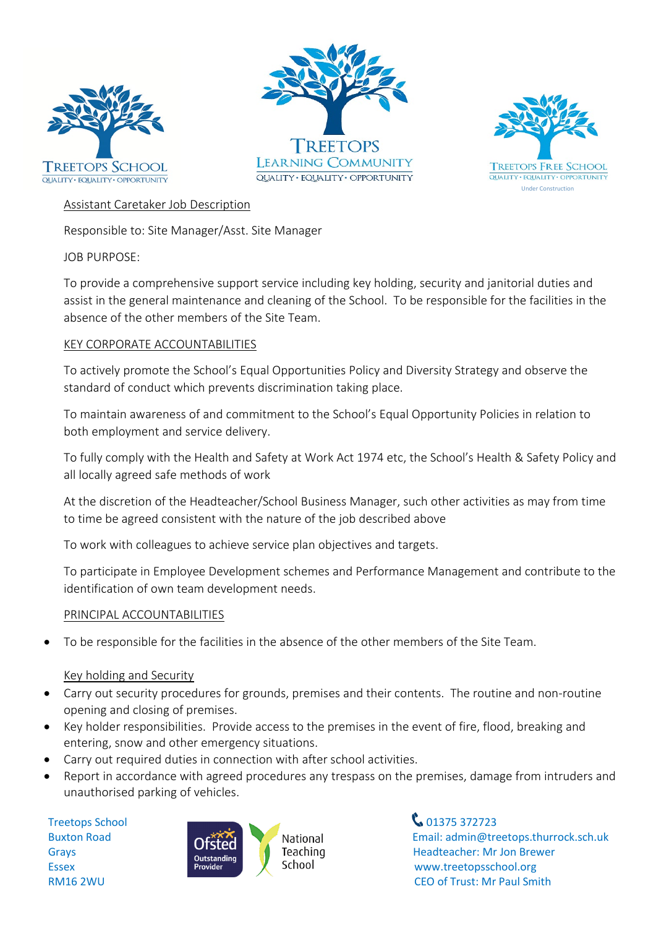





## Assistant Caretaker Job Description

Responsible to: Site Manager/Asst. Site Manager

JOB PURPOSE:

To provide a comprehensive support service including key holding, security and janitorial duties and assist in the general maintenance and cleaning of the School. To be responsible for the facilities in the absence of the other members of the Site Team.

### KEY CORPORATE ACCOUNTABILITIES

To actively promote the School's Equal Opportunities Policy and Diversity Strategy and observe the standard of conduct which prevents discrimination taking place.

To maintain awareness of and commitment to the School's Equal Opportunity Policies in relation to both employment and service delivery.

To fully comply with the Health and Safety at Work Act 1974 etc, the School's Health & Safety Policy and all locally agreed safe methods of work

At the discretion of the Headteacher/School Business Manager, such other activities as may from time to time be agreed consistent with the nature of the job described above

To work with colleagues to achieve service plan objectives and targets.

To participate in Employee Development schemes and Performance Management and contribute to the identification of own team development needs.

#### PRINCIPAL ACCOUNTABILITIES

• To be responsible for the facilities in the absence of the other members of the Site Team.

## Key holding and Security

- Carry out security procedures for grounds, premises and their contents. The routine and non-routine opening and closing of premises.
- Key holder responsibilities. Provide access to the premises in the event of fire, flood, breaking and entering, snow and other emergency situations.
- Carry out required duties in connection with after school activities.
- Report in accordance with agreed procedures any trespass on the premises, damage from intruders and unauthorised parking of vehicles.



Buxton Road **Email:** admin@treetops.thurrock.sch.uk Grays **Example 213LCU** Teaching Headteacher: Mr Jon Brewer Essex **Example 2008 Example 2008 Example 2008 Example 2008 WWW.treetopsschool.org** RM16 2WU CEO of Trust: Mr Paul Smith